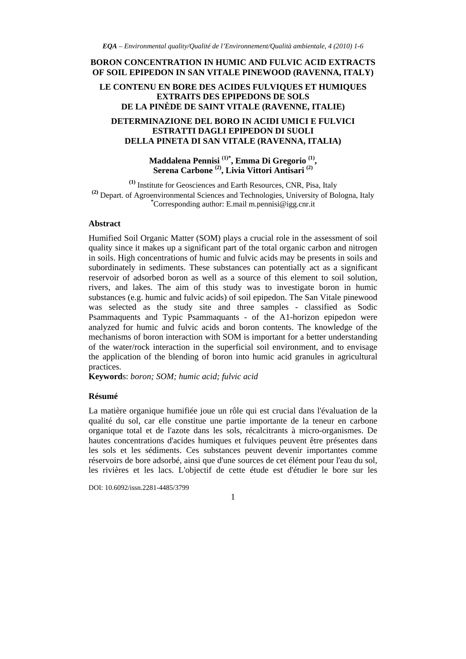# **BORON CONCENTRATION IN HUMIC AND FULVIC ACID EXTRACTS OF SOIL EPIPEDON IN SAN VITALE PINEWOOD (RAVENNA, ITALY)**

### **LE CONTENU EN BORE DES ACIDES FULVIQUES ET HUMIQUES EXTRAITS DES EPIPEDONS DE SOLS DE LA PINÈDE DE SAINT VITALE (RAVENNE, ITALIE)**

### **DETERMINAZIONE DEL BORO IN ACIDI UMICI E FULVICI ESTRATTI DAGLI EPIPEDON DI SUOLI DELLA PINETA DI SAN VITALE (RAVENNA, ITALIA)**

## **Maddalena Pennisi (1)\*, Emma Di Gregorio (1), Serena Carbone (2), Livia Vittori Antisari (2)**

**(1)** Institute for Geosciences and Earth Resources, CNR, Pisa, Italy **(2)** Depart. of Agroenvironmental Sciences and Technologies, University of Bologna, Italy **\*** Corresponding author: E.mail m.pennisi@igg.cnr.it

#### **Abstract**

Humified Soil Organic Matter (SOM) plays a crucial role in the assessment of soil quality since it makes up a significant part of the total organic carbon and nitrogen in soils. High concentrations of humic and fulvic acids may be presents in soils and subordinately in sediments. These substances can potentially act as a significant reservoir of adsorbed boron as well as a source of this element to soil solution, rivers, and lakes. The aim of this study was to investigate boron in humic substances (e.g. humic and fulvic acids) of soil epipedon. The San Vitale pinewood was selected as the study site and three samples - classified as Sodic Psammaquents and Typic Psammaquants - of the A1-horizon epipedon were analyzed for humic and fulvic acids and boron contents. The knowledge of the mechanisms of boron interaction with SOM is important for a better understanding of the water/rock interaction in the superficial soil environment, and to envisage the application of the blending of boron into humic acid granules in agricultural practices.

**Keyword**s: *boron; SOM; humic acid; fulvic acid*

#### **Résumé**

La matière organique humifiée joue un rôle qui est crucial dans l'évaluation de la qualité du sol, car elle constitue une partie importante de la teneur en carbone organique total et de l'azote dans les sols, récalcitrants à micro-organismes. De hautes concentrations d'acides humiques et fulviques peuvent être présentes dans les sols et les sédiments. Ces substances peuvent devenir importantes comme réservoirs de bore adsorbé, ainsi que d'une sources de cet élément pour l'eau du sol, les rivières et les lacs. L'objectif de cette étude est d'étudier le bore sur les

DOI: 10.6092/issn.2281-4485/3799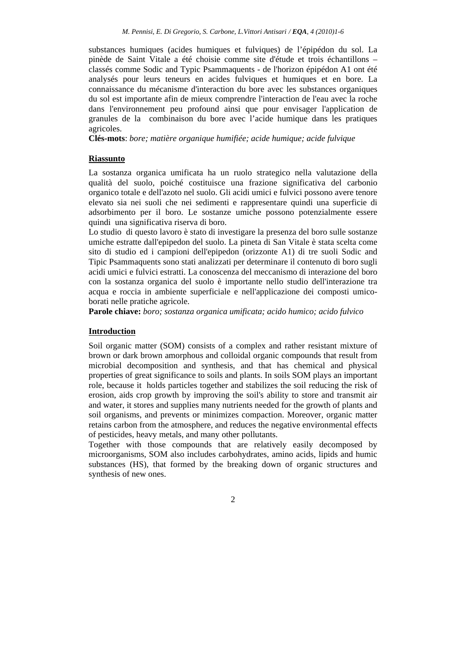substances humiques (acides humiques et fulviques) de l'épipédon du sol. La pinède de Saint Vitale a été choisie comme site d'étude et trois échantillons – classés comme Sodic and Typic Psammaquents - de l'horizon épipédon A1 ont été analysés pour leurs teneurs en acides fulviques et humiques et en bore. La connaissance du mécanisme d'interaction du bore avec les substances organiques du sol est importante afin de mieux comprendre l'interaction de l'eau avec la roche dans l'environnement peu profound ainsi que pour envisager l'application de granules de la combinaison du bore avec l'acide humique dans les pratiques agricoles.

**Clés-mots**: *bore; matière organique humifiée; acide humique; acide fulvique*

#### **Riassunto**

La sostanza organica umificata ha un ruolo strategico nella valutazione della qualità del suolo, poiché costituisce una frazione significativa del carbonio organico totale e dell'azoto nel suolo. Gli acidi umici e fulvici possono avere tenore elevato sia nei suoli che nei sedimenti e rappresentare quindi una superficie di adsorbimento per il boro. Le sostanze umiche possono potenzialmente essere quindi una significativa riserva di boro.

Lo studio di questo lavoro è stato di investigare la presenza del boro sulle sostanze umiche estratte dall'epipedon del suolo. La pineta di San Vitale è stata scelta come sito di studio ed i campioni dell'epipedon (orizzonte A1) di tre suoli Sodic and Tipic Psammaquents sono stati analizzati per determinare il contenuto di boro sugli acidi umici e fulvici estratti. La conoscenza del meccanismo di interazione del boro con la sostanza organica del suolo è importante nello studio dell'interazione tra acqua e roccia in ambiente superficiale e nell'applicazione dei composti umicoborati nelle pratiche agricole.

**Parole chiave:** *boro; sostanza organica umificata; acido humico; acido fulvico*

#### **Introduction**

Soil organic matter (SOM) consists of a complex and rather resistant mixture of brown or dark brown amorphous and colloidal organic compounds that result from microbial decomposition and synthesis, and that has chemical and physical properties of great significance to soils and plants. In soils SOM plays an important role, because it holds particles together and stabilizes the soil reducing the risk of erosion, aids crop growth by improving the soil's ability to store and transmit air and water, it stores and supplies many nutrients needed for the growth of plants and soil organisms, and prevents or minimizes compaction. Moreover, organic matter retains carbon from the atmosphere, and reduces the negative environmental effects of pesticides, heavy metals, and many other pollutants.

Together with those compounds that are relatively easily decomposed by microorganisms, SOM also includes carbohydrates, amino acids, lipids and humic substances (HS), that formed by the breaking down of organic structures and synthesis of new ones.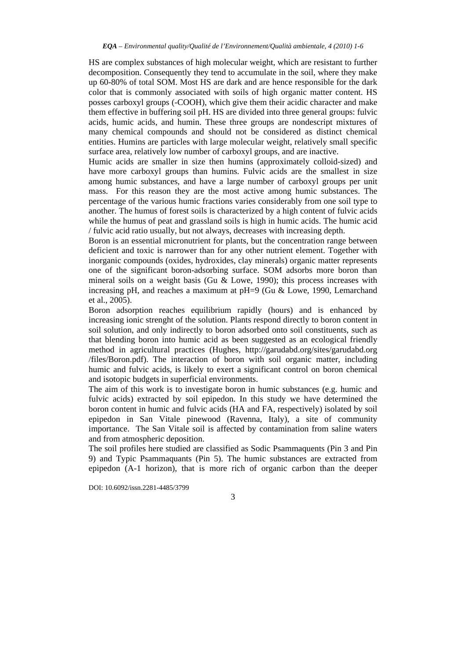HS are complex substances of high molecular weight, which are resistant to further decomposition. Consequently they tend to accumulate in the soil, where they make up 60-80% of total SOM. Most HS are dark and are hence responsible for the dark color that is commonly associated with soils of high organic matter content. HS posses carboxyl groups (-COOH), which give them their acidic character and make them effective in buffering soil pH. HS are divided into three general groups: fulvic acids, humic acids, and humin. These three groups are nondescript mixtures of many chemical compounds and should not be considered as distinct chemical entities. Humins are particles with large molecular weight, relatively small specific surface area, relatively low number of carboxyl groups, and are inactive.

Humic acids are smaller in size then humins (approximately colloid-sized) and have more carboxyl groups than humins. Fulvic acids are the smallest in size among humic substances, and have a large number of carboxyl groups per unit mass. For this reason they are the most active among humic substances. The percentage of the various humic fractions varies considerably from one soil type to another. The humus of forest soils is characterized by a high content of fulvic acids while the humus of peat and grassland soils is high in humic acids. The humic acid / fulvic acid ratio usually, but not always, decreases with increasing depth.

Boron is an essential micronutrient for plants, but the concentration range between deficient and toxic is narrower than for any other nutrient element. Together with inorganic compounds (oxides, hydroxides, clay minerals) organic matter represents one of the significant boron-adsorbing surface. SOM adsorbs more boron than mineral soils on a weight basis (Gu  $&$  Lowe, 1990); this process increases with increasing pH, and reaches a maximum at  $pH=9$  (Gu & Lowe, 1990, Lemarchand et al., 2005).

Boron adsorption reaches equilibrium rapidly (hours) and is enhanced by increasing ionic strenght of the solution. Plants respond directly to boron content in soil solution, and only indirectly to boron adsorbed onto soil constituents, such as that blending boron into humic acid as been suggested as an ecological friendly method in agricultural practices (Hughes, http://garudabd.org/sites/garudabd.org /files/Boron.pdf). The interaction of boron with soil organic matter, including humic and fulvic acids, is likely to exert a significant control on boron chemical and isotopic budgets in superficial environments.

The aim of this work is to investigate boron in humic substances (e.g. humic and fulvic acids) extracted by soil epipedon. In this study we have determined the boron content in humic and fulvic acids (HA and FA, respectively) isolated by soil epipedon in San Vitale pinewood (Ravenna, Italy), a site of community importance. The San Vitale soil is affected by contamination from saline waters and from atmospheric deposition.

The soil profiles here studied are classified as Sodic Psammaquents (Pin 3 and Pin 9) and Typic Psammaquants (Pin 5). The humic substances are extracted from epipedon (A-1 horizon), that is more rich of organic carbon than the deeper

DOI: 10.6092/issn.2281-4485/3799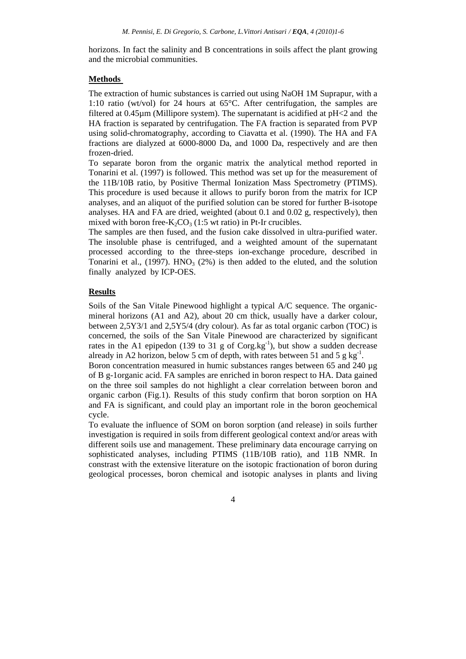horizons. In fact the salinity and B concentrations in soils affect the plant growing and the microbial communities.

#### **Methods**

The extraction of humic substances is carried out using NaOH 1M Suprapur, with a 1:10 ratio (wt/vol) for 24 hours at 65°C. After centrifugation, the samples are filtered at 0.45µm (Millipore system). The supernatant is acidified at pH<2 and the HA fraction is separated by centrifugation. The FA fraction is separated from PVP using solid-chromatography, according to Ciavatta et al. (1990). The HA and FA fractions are dialyzed at 6000-8000 Da, and 1000 Da, respectively and are then frozen-dried.

To separate boron from the organic matrix the analytical method reported in Tonarini et al. (1997) is followed. This method was set up for the measurement of the 11B/10B ratio, by Positive Thermal Ionization Mass Spectrometry (PTIMS). This procedure is used because it allows to purify boron from the matrix for ICP analyses, and an aliquot of the purified solution can be stored for further B-isotope analyses. HA and FA are dried, weighted (about 0.1 and 0.02 g, respectively), then mixed with boron free- $K_2CO_3$  (1:5 wt ratio) in Pt-Ir crucibles.

The samples are then fused, and the fusion cake dissolved in ultra-purified water. The insoluble phase is centrifuged, and a weighted amount of the supernatant processed according to the three-steps ion-exchange procedure, described in Tonarini et al., (1997).  $HNO<sub>3</sub>$  (2%) is then added to the eluted, and the solution finally analyzed by ICP-OES.

### **Results**

Soils of the San Vitale Pinewood highlight a typical A/C sequence. The organicmineral horizons (A1 and A2), about 20 cm thick, usually have a darker colour, between 2,5Y3/1 and 2,5Y5/4 (dry colour). As far as total organic carbon (TOC) is concerned, the soils of the San Vitale Pinewood are characterized by significant rates in the A1 epipedon (139 to 31 g of  $\text{Cong.kg}^{-1}$ ), but show a sudden decrease already in A2 horizon, below 5 cm of depth, with rates between 51 and 5 g kg<sup>-1</sup>.

Boron concentration measured in humic substances ranges between 65 and 240 µg of B g-1organic acid. FA samples are enriched in boron respect to HA. Data gained on the three soil samples do not highlight a clear correlation between boron and organic carbon (Fig.1). Results of this study confirm that boron sorption on HA and FA is significant, and could play an important role in the boron geochemical cycle.

To evaluate the influence of SOM on boron sorption (and release) in soils further investigation is required in soils from different geological context and/or areas with different soils use and management. These preliminary data encourage carrying on sophisticated analyses, including PTIMS (11B/10B ratio), and 11B NMR. In constrast with the extensive literature on the isotopic fractionation of boron during geological processes, boron chemical and isotopic analyses in plants and living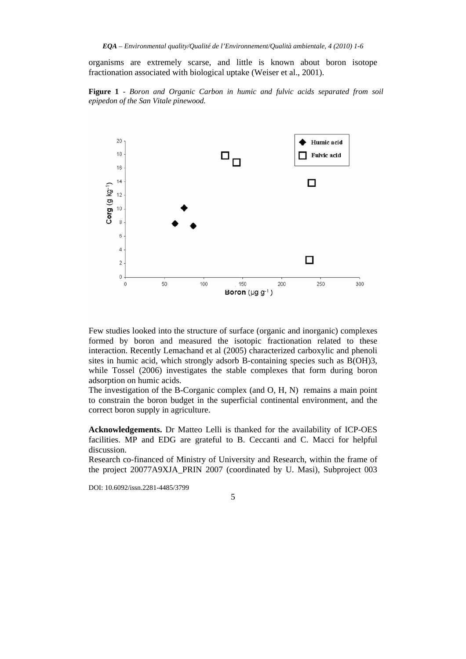organisms are extremely scarse, and little is known about boron isotope fractionation associated with biological uptake (Weiser et al., 2001).





Few studies looked into the structure of surface (organic and inorganic) complexes formed by boron and measured the isotopic fractionation related to these interaction. Recently Lemachand et al (2005) characterized carboxylic and phenoli sites in humic acid, which strongly adsorb B-containing species such as B(OH)3, while Tossel (2006) investigates the stable complexes that form during boron adsorption on humic acids.

The investigation of the B-Corganic complex (and O, H, N) remains a main point to constrain the boron budget in the superficial continental environment, and the correct boron supply in agriculture.

**Acknowledgements.** Dr Matteo Lelli is thanked for the availability of ICP-OES facilities. MP and EDG are grateful to B. Ceccanti and C. Macci for helpful discussion.

Research co-financed of Ministry of University and Research, within the frame of the project 20077A9XJA\_PRIN 2007 (coordinated by U. Masi), Subproject 003

DOI: 10.6092/issn.2281-4485/3799